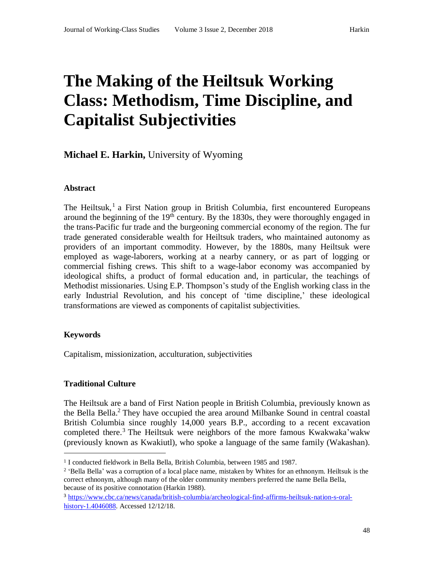# **The Making of the Heiltsuk Working Class: Methodism, Time Discipline, and Capitalist Subjectivities**

# **Michael E. Harkin,** University of Wyoming

## **Abstract**

The Heiltsuk,<sup>1</sup> a First Nation group in British Columbia, first encountered Europeans around the beginning of the  $19<sup>th</sup>$  century. By the 1830s, they were thoroughly engaged in the trans-Pacific fur trade and the burgeoning commercial economy of the region. The fur trade generated considerable wealth for Heiltsuk traders, who maintained autonomy as providers of an important commodity. However, by the 1880s, many Heiltsuk were employed as wage-laborers, working at a nearby cannery, or as part of logging or commercial fishing crews. This shift to a wage-labor economy was accompanied by ideological shifts, a product of formal education and, in particular, the teachings of Methodist missionaries. Using E.P. Thompson's study of the English working class in the early Industrial Revolution, and his concept of 'time discipline,' these ideological transformations are viewed as components of capitalist subjectivities.

#### **Keywords**

 $\overline{a}$ 

Capitalism, missionization, acculturation, subjectivities

# **Traditional Culture**

The Heiltsuk are a band of First Nation people in British Columbia, previously known as the Bella Bella.<sup>2</sup> They have occupied the area around Milbanke Sound in central coastal British Columbia since roughly 14,000 years B.P., according to a recent excavation completed there. <sup>3</sup> The Heiltsuk were neighbors of the more famous Kwakwaka'wakw (previously known as Kwakiutl), who spoke a language of the same family (Wakashan).

<sup>&</sup>lt;sup>1</sup> I conducted fieldwork in Bella Bella, British Columbia, between 1985 and 1987.

<sup>&</sup>lt;sup>2</sup> 'Bella Bella' was a corruption of a local place name, mistaken by Whites for an ethnonym. Heiltsuk is the correct ethnonym, although many of the older community members preferred the name Bella Bella, because of its positive connotation (Harkin 1988).

<sup>3</sup> [https://www.cbc.ca/news/canada/british-columbia/archeological-find-affirms-heiltsuk-nation-s-oral](https://www.cbc.ca/news/canada/british-columbia/archeological-find-affirms-heiltsuk-nation-s-oral-history-1.4046088)[history-1.4046088.](https://www.cbc.ca/news/canada/british-columbia/archeological-find-affirms-heiltsuk-nation-s-oral-history-1.4046088) Accessed 12/12/18.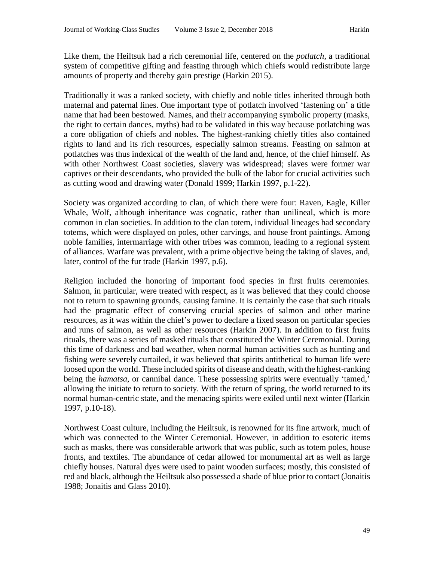Like them, the Heiltsuk had a rich ceremonial life, centered on the *potlatch*, a traditional system of competitive gifting and feasting through which chiefs would redistribute large amounts of property and thereby gain prestige (Harkin 2015).

Traditionally it was a ranked society, with chiefly and noble titles inherited through both maternal and paternal lines. One important type of potlatch involved 'fastening on' a title name that had been bestowed. Names, and their accompanying symbolic property (masks, the right to certain dances, myths) had to be validated in this way because potlatching was a core obligation of chiefs and nobles. The highest-ranking chiefly titles also contained rights to land and its rich resources, especially salmon streams. Feasting on salmon at potlatches was thus indexical of the wealth of the land and, hence, of the chief himself. As with other Northwest Coast societies, slavery was widespread; slaves were former war captives or their descendants, who provided the bulk of the labor for crucial activities such as cutting wood and drawing water (Donald 1999; Harkin 1997, p.1-22).

Society was organized according to clan, of which there were four: Raven, Eagle, Killer Whale, Wolf, although inheritance was cognatic, rather than unilineal, which is more common in clan societies. In addition to the clan totem, individual lineages had secondary totems, which were displayed on poles, other carvings, and house front paintings. Among noble families, intermarriage with other tribes was common, leading to a regional system of alliances. Warfare was prevalent, with a prime objective being the taking of slaves, and, later, control of the fur trade (Harkin 1997, p.6).

Religion included the honoring of important food species in first fruits ceremonies. Salmon, in particular, were treated with respect, as it was believed that they could choose not to return to spawning grounds, causing famine. It is certainly the case that such rituals had the pragmatic effect of conserving crucial species of salmon and other marine resources, as it was within the chief's power to declare a fixed season on particular species and runs of salmon, as well as other resources (Harkin 2007). In addition to first fruits rituals, there was a series of masked rituals that constituted the Winter Ceremonial. During this time of darkness and bad weather, when normal human activities such as hunting and fishing were severely curtailed, it was believed that spirits antithetical to human life were loosed upon the world. These included spirits of disease and death, with the highest-ranking being the *hamatsa*, or cannibal dance. These possessing spirits were eventually 'tamed,' allowing the initiate to return to society. With the return of spring, the world returned to its normal human-centric state, and the menacing spirits were exiled until next winter (Harkin 1997, p.10-18).

Northwest Coast culture, including the Heiltsuk, is renowned for its fine artwork, much of which was connected to the Winter Ceremonial. However, in addition to esoteric items such as masks, there was considerable artwork that was public, such as totem poles, house fronts, and textiles. The abundance of cedar allowed for monumental art as well as large chiefly houses. Natural dyes were used to paint wooden surfaces; mostly, this consisted of red and black, although the Heiltsuk also possessed a shade of blue prior to contact (Jonaitis 1988; Jonaitis and Glass 2010).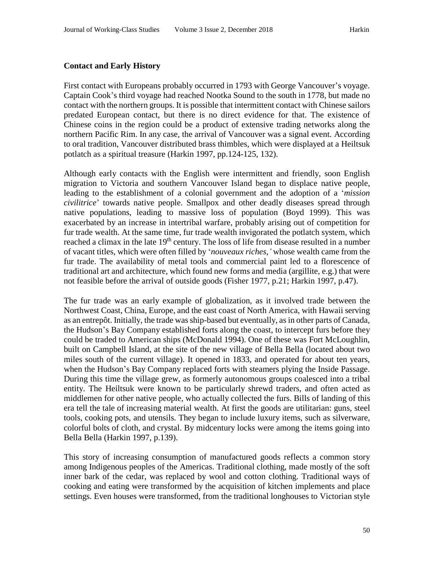## **Contact and Early History**

First contact with Europeans probably occurred in 1793 with George Vancouver's voyage. Captain Cook's third voyage had reached Nootka Sound to the south in 1778, but made no contact with the northern groups. It is possible that intermittent contact with Chinese sailors predated European contact, but there is no direct evidence for that. The existence of Chinese coins in the region could be a product of extensive trading networks along the northern Pacific Rim. In any case, the arrival of Vancouver was a signal event. According to oral tradition, Vancouver distributed brass thimbles, which were displayed at a Heiltsuk potlatch as a spiritual treasure (Harkin 1997, pp.124-125, 132).

Although early contacts with the English were intermittent and friendly, soon English migration to Victoria and southern Vancouver Island began to displace native people, leading to the establishment of a colonial government and the adoption of a '*mission civilitrice*' towards native people. Smallpox and other deadly diseases spread through native populations, leading to massive loss of population (Boyd 1999). This was exacerbated by an increase in intertribal warfare, probably arising out of competition for fur trade wealth. At the same time, fur trade wealth invigorated the potlatch system, which reached a climax in the late 19<sup>th</sup> century. The loss of life from disease resulted in a number of vacant titles, which were often filled by '*nouveaux riches,'* whose wealth came from the fur trade. The availability of metal tools and commercial paint led to a florescence of traditional art and architecture, which found new forms and media (argillite, e.g.) that were not feasible before the arrival of outside goods (Fisher 1977, p.21; Harkin 1997, p.47).

The fur trade was an early example of globalization, as it involved trade between the Northwest Coast, China, Europe, and the east coast of North America, with Hawaii serving as an entrepôt. Initially, the trade was ship-based but eventually, as in other parts of Canada, the Hudson's Bay Company established forts along the coast, to intercept furs before they could be traded to American ships (McDonald 1994). One of these was Fort McLoughlin, built on Campbell Island, at the site of the new village of Bella Bella (located about two miles south of the current village). It opened in 1833, and operated for about ten years, when the Hudson's Bay Company replaced forts with steamers plying the Inside Passage. During this time the village grew, as formerly autonomous groups coalesced into a tribal entity. The Heiltsuk were known to be particularly shrewd traders, and often acted as middlemen for other native people, who actually collected the furs. Bills of landing of this era tell the tale of increasing material wealth. At first the goods are utilitarian: guns, steel tools, cooking pots, and utensils. They began to include luxury items, such as silverware, colorful bolts of cloth, and crystal. By midcentury locks were among the items going into Bella Bella (Harkin 1997, p.139).

This story of increasing consumption of manufactured goods reflects a common story among Indigenous peoples of the Americas. Traditional clothing, made mostly of the soft inner bark of the cedar, was replaced by wool and cotton clothing. Traditional ways of cooking and eating were transformed by the acquisition of kitchen implements and place settings. Even houses were transformed, from the traditional longhouses to Victorian style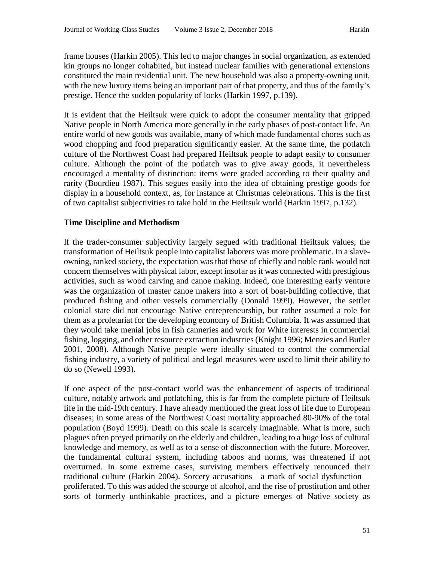frame houses (Harkin 2005). This led to major changes in social organization, as extended kin groups no longer cohabited, but instead nuclear families with generational extensions constituted the main residential unit. The new household was also a property-owning unit, with the new luxury items being an important part of that property, and thus of the family's prestige. Hence the sudden popularity of locks (Harkin 1997, p.139).

It is evident that the Heiltsuk were quick to adopt the consumer mentality that gripped Native people in North America more generally in the early phases of post-contact life. An entire world of new goods was available, many of which made fundamental chores such as wood chopping and food preparation significantly easier. At the same time, the potlatch culture of the Northwest Coast had prepared Heiltsuk people to adapt easily to consumer culture. Although the point of the potlatch was to give away goods, it nevertheless encouraged a mentality of distinction: items were graded according to their quality and rarity (Bourdieu 1987). This segues easily into the idea of obtaining prestige goods for display in a household context, as, for instance at Christmas celebrations. This is the first of two capitalist subjectivities to take hold in the Heiltsuk world (Harkin 1997, p.132).

#### **Time Discipline and Methodism**

If the trader-consumer subjectivity largely segued with traditional Heiltsuk values, the transformation of Heiltsuk people into capitalist laborers was more problematic. In a slaveowning, ranked society, the expectation was that those of chiefly and noble rank would not concern themselves with physical labor, except insofar as it was connected with prestigious activities, such as wood carving and canoe making. Indeed, one interesting early venture was the organization of master canoe makers into a sort of boat-building collective, that produced fishing and other vessels commercially (Donald 1999). However, the settler colonial state did not encourage Native entrepreneurship, but rather assumed a role for them as a proletariat for the developing economy of British Columbia. It was assumed that they would take menial jobs in fish canneries and work for White interests in commercial fishing, logging, and other resource extraction industries (Knight 1996; Menzies and Butler 2001, 2008). Although Native people were ideally situated to control the commercial fishing industry, a variety of political and legal measures were used to limit their ability to do so (Newell 1993).

If one aspect of the post-contact world was the enhancement of aspects of traditional culture, notably artwork and potlatching, this is far from the complete picture of Heiltsuk life in the mid-19th century. I have already mentioned the great loss of life due to European diseases; in some areas of the Northwest Coast mortality approached 80-90% of the total population (Boyd 1999). Death on this scale is scarcely imaginable. What is more, such plagues often preyed primarily on the elderly and children, leading to a huge loss of cultural knowledge and memory, as well as to a sense of disconnection with the future. Moreover, the fundamental cultural system, including taboos and norms, was threatened if not overturned. In some extreme cases, surviving members effectively renounced their traditional culture (Harkin 2004). Sorcery accusations—a mark of social dysfunction proliferated. To this was added the scourge of alcohol, and the rise of prostitution and other sorts of formerly unthinkable practices, and a picture emerges of Native society as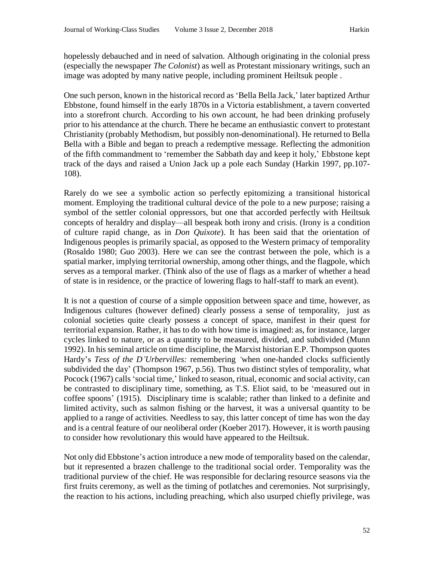hopelessly debauched and in need of salvation. Although originating in the colonial press (especially the newspaper *The Colonist*) as well as Protestant missionary writings, such an image was adopted by many native people, including prominent Heiltsuk people .

One such person, known in the historical record as 'Bella Bella Jack,' later baptized Arthur Ebbstone, found himself in the early 1870s in a Victoria establishment, a tavern converted into a storefront church. According to his own account, he had been drinking profusely prior to his attendance at the church. There he became an enthusiastic convert to protestant Christianity (probably Methodism, but possibly non-denominational). He returned to Bella Bella with a Bible and began to preach a redemptive message. Reflecting the admonition of the fifth commandment to 'remember the Sabbath day and keep it holy,' Ebbstone kept track of the days and raised a Union Jack up a pole each Sunday (Harkin 1997, pp.107- 108).

Rarely do we see a symbolic action so perfectly epitomizing a transitional historical moment. Employing the traditional cultural device of the pole to a new purpose; raising a symbol of the settler colonial oppressors, but one that accorded perfectly with Heiltsuk concepts of heraldry and display—all bespeak both irony and crisis. (Irony is a condition of culture rapid change, as in *Don Quixote*). It has been said that the orientation of Indigenous peoples is primarily spacial, as opposed to the Western primacy of temporality (Rosaldo 1980; Guo 2003). Here we can see the contrast between the pole, which is a spatial marker, implying territorial ownership, among other things, and the flagpole, which serves as a temporal marker. (Think also of the use of flags as a marker of whether a head of state is in residence, or the practice of lowering flags to half-staff to mark an event).

It is not a question of course of a simple opposition between space and time, however, as Indigenous cultures (however defined) clearly possess a sense of temporality, just as colonial societies quite clearly possess a concept of space, manifest in their quest for territorial expansion. Rather, it has to do with how time is imagined: as, for instance, larger cycles linked to nature, or as a quantity to be measured, divided, and subdivided (Munn 1992). In his seminal article on time discipline, the Marxist historian E.P. Thompson quotes Hardy's *Tess of the D'Urbervilles:* remembering *'*when one-handed clocks sufficiently subdivided the day' (Thompson 1967, p.56). Thus two distinct styles of temporality, what Pocock (1967) calls'social time,' linked to season, ritual, economic and social activity, can be contrasted to disciplinary time, something, as T.S. Eliot said, to be 'measured out in coffee spoons' (1915). Disciplinary time is scalable; rather than linked to a definite and limited activity, such as salmon fishing or the harvest, it was a universal quantity to be applied to a range of activities. Needless to say, this latter concept of time has won the day and is a central feature of our neoliberal order (Koeber 2017). However, it is worth pausing to consider how revolutionary this would have appeared to the Heiltsuk.

Not only did Ebbstone's action introduce a new mode of temporality based on the calendar, but it represented a brazen challenge to the traditional social order. Temporality was the traditional purview of the chief. He was responsible for declaring resource seasons via the first fruits ceremony, as well as the timing of potlatches and ceremonies. Not surprisingly, the reaction to his actions, including preaching, which also usurped chiefly privilege, was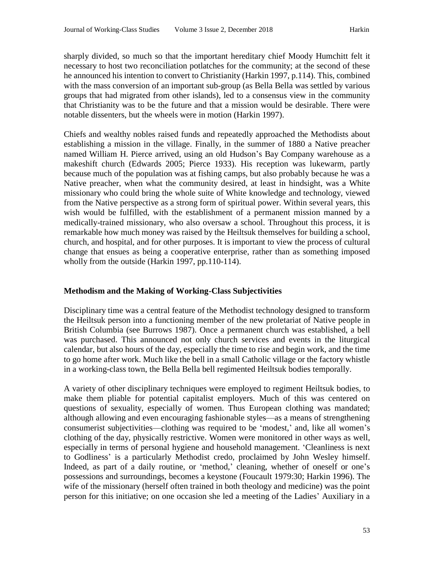sharply divided, so much so that the important hereditary chief Moody Humchitt felt it necessary to host two reconciliation potlatches for the community; at the second of these he announced his intention to convert to Christianity (Harkin 1997, p.114). This, combined with the mass conversion of an important sub-group (as Bella Bella was settled by various groups that had migrated from other islands), led to a consensus view in the community that Christianity was to be the future and that a mission would be desirable. There were notable dissenters, but the wheels were in motion (Harkin 1997).

Chiefs and wealthy nobles raised funds and repeatedly approached the Methodists about establishing a mission in the village. Finally, in the summer of 1880 a Native preacher named William H. Pierce arrived, using an old Hudson's Bay Company warehouse as a makeshift church (Edwards 2005; Pierce 1933). His reception was lukewarm, partly because much of the population was at fishing camps, but also probably because he was a Native preacher, when what the community desired, at least in hindsight, was a White missionary who could bring the whole suite of White knowledge and technology, viewed from the Native perspective as a strong form of spiritual power. Within several years, this wish would be fulfilled, with the establishment of a permanent mission manned by a medically-trained missionary, who also oversaw a school. Throughout this process, it is remarkable how much money was raised by the Heiltsuk themselves for building a school, church, and hospital, and for other purposes. It is important to view the process of cultural change that ensues as being a cooperative enterprise, rather than as something imposed wholly from the outside (Harkin 1997, pp.110-114).

# **Methodism and the Making of Working-Class Subjectivities**

Disciplinary time was a central feature of the Methodist technology designed to transform the Heiltsuk person into a functioning member of the new proletariat of Native people in British Columbia (see Burrows 1987). Once a permanent church was established, a bell was purchased. This announced not only church services and events in the liturgical calendar, but also hours of the day, especially the time to rise and begin work, and the time to go home after work. Much like the bell in a small Catholic village or the factory whistle in a working-class town, the Bella Bella bell regimented Heiltsuk bodies temporally.

A variety of other disciplinary techniques were employed to regiment Heiltsuk bodies, to make them pliable for potential capitalist employers. Much of this was centered on questions of sexuality, especially of women. Thus European clothing was mandated; although allowing and even encouraging fashionable styles—as a means of strengthening consumerist subjectivities—clothing was required to be 'modest,' and, like all women's clothing of the day, physically restrictive. Women were monitored in other ways as well, especially in terms of personal hygiene and household management. 'Cleanliness is next to Godliness' is a particularly Methodist credo, proclaimed by John Wesley himself. Indeed, as part of a daily routine, or 'method,' cleaning, whether of oneself or one's possessions and surroundings, becomes a keystone (Foucault 1979:30; Harkin 1996). The wife of the missionary (herself often trained in both theology and medicine) was the point person for this initiative; on one occasion she led a meeting of the Ladies' Auxiliary in a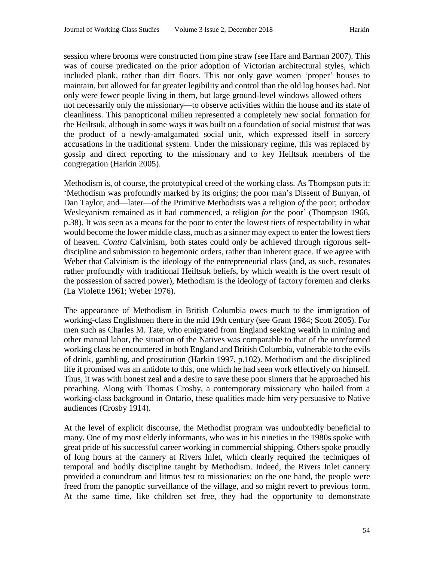session where brooms were constructed from pine straw (see Hare and Barman 2007). This was of course predicated on the prior adoption of Victorian architectural styles, which included plank, rather than dirt floors. This not only gave women 'proper' houses to maintain, but allowed for far greater legibility and control than the old log houses had. Not only were fewer people living in them, but large ground-level windows allowed others not necessarily only the missionary—to observe activities within the house and its state of cleanliness. This panopticonal milieu represented a completely new social formation for the Heiltsuk, although in some ways it was built on a foundation of social mistrust that was the product of a newly-amalgamated social unit, which expressed itself in sorcery accusations in the traditional system. Under the missionary regime, this was replaced by gossip and direct reporting to the missionary and to key Heiltsuk members of the congregation (Harkin 2005).

Methodism is, of course, the prototypical creed of the working class. As Thompson puts it: 'Methodism was profoundly marked by its origins; the poor man's Dissent of Bunyan, of Dan Taylor, and—later—of the Primitive Methodists was a religion *of* the poor; orthodox Wesleyanism remained as it had commenced, a religion *for* the poor' (Thompson 1966, p.38). It was seen as a means for the poor to enter the lowest tiers of respectability in what would become the lower middle class, much as a sinner may expect to enter the lowest tiers of heaven. *Contra* Calvinism, both states could only be achieved through rigorous selfdiscipline and submission to hegemonic orders, rather than inherent grace. If we agree with Weber that Calvinism is the ideology of the entrepreneurial class (and, as such, resonates rather profoundly with traditional Heiltsuk beliefs, by which wealth is the overt result of the possession of sacred power), Methodism is the ideology of factory foremen and clerks (La Violette 1961; Weber 1976).

The appearance of Methodism in British Columbia owes much to the immigration of working-class Englishmen there in the mid 19th century (see Grant 1984; Scott 2005). For men such as Charles M. Tate, who emigrated from England seeking wealth in mining and other manual labor, the situation of the Natives was comparable to that of the unreformed working class he encountered in both England and British Columbia, vulnerable to the evils of drink, gambling, and prostitution (Harkin 1997, p.102). Methodism and the disciplined life it promised was an antidote to this, one which he had seen work effectively on himself. Thus, it was with honest zeal and a desire to save these poor sinners that he approached his preaching. Along with Thomas Crosby, a contemporary missionary who hailed from a working-class background in Ontario, these qualities made him very persuasive to Native audiences (Crosby 1914).

At the level of explicit discourse, the Methodist program was undoubtedly beneficial to many. One of my most elderly informants, who was in his nineties in the 1980s spoke with great pride of his successful career working in commercial shipping. Others spoke proudly of long hours at the cannery at Rivers Inlet, which clearly required the techniques of temporal and bodily discipline taught by Methodism. Indeed, the Rivers Inlet cannery provided a conundrum and litmus test to missionaries: on the one hand, the people were freed from the panoptic surveillance of the village, and so might revert to previous form. At the same time, like children set free, they had the opportunity to demonstrate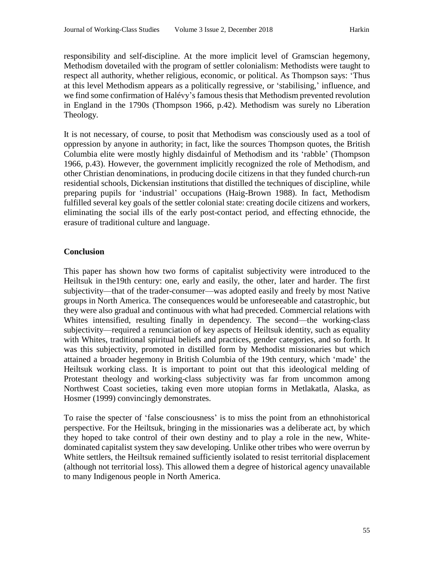responsibility and self-discipline. At the more implicit level of Gramscian hegemony, Methodism dovetailed with the program of settler colonialism: Methodists were taught to respect all authority, whether religious, economic, or political. As Thompson says: 'Thus at this level Methodism appears as a politically regressive, or 'stabilising,' influence, and we find some confirmation of Halévy's famous thesis that Methodism prevented revolution in England in the 1790s (Thompson 1966, p.42). Methodism was surely no Liberation Theology.

It is not necessary, of course, to posit that Methodism was consciously used as a tool of oppression by anyone in authority; in fact, like the sources Thompson quotes, the British Columbia elite were mostly highly disdainful of Methodism and its 'rabble' (Thompson 1966, p.43). However, the government implicitly recognized the role of Methodism, and other Christian denominations, in producing docile citizens in that they funded church-run residential schools, Dickensian institutions that distilled the techniques of discipline, while preparing pupils for 'industrial' occupations (Haig-Brown 1988). In fact, Methodism fulfilled several key goals of the settler colonial state: creating docile citizens and workers, eliminating the social ills of the early post-contact period, and effecting ethnocide, the erasure of traditional culture and language.

# **Conclusion**

This paper has shown how two forms of capitalist subjectivity were introduced to the Heiltsuk in the19th century: one, early and easily, the other, later and harder. The first subjectivity—that of the trader-consumer—was adopted easily and freely by most Native groups in North America. The consequences would be unforeseeable and catastrophic, but they were also gradual and continuous with what had preceded. Commercial relations with Whites intensified, resulting finally in dependency. The second—the working-class subjectivity—required a renunciation of key aspects of Heiltsuk identity, such as equality with Whites, traditional spiritual beliefs and practices, gender categories, and so forth. It was this subjectivity, promoted in distilled form by Methodist missionaries but which attained a broader hegemony in British Columbia of the 19th century, which 'made' the Heiltsuk working class. It is important to point out that this ideological melding of Protestant theology and working-class subjectivity was far from uncommon among Northwest Coast societies, taking even more utopian forms in Metlakatla, Alaska, as Hosmer (1999) convincingly demonstrates.

To raise the specter of 'false consciousness' is to miss the point from an ethnohistorical perspective. For the Heiltsuk, bringing in the missionaries was a deliberate act, by which they hoped to take control of their own destiny and to play a role in the new, Whitedominated capitalist system they saw developing. Unlike other tribes who were overrun by White settlers, the Heiltsuk remained sufficiently isolated to resist territorial displacement (although not territorial loss). This allowed them a degree of historical agency unavailable to many Indigenous people in North America.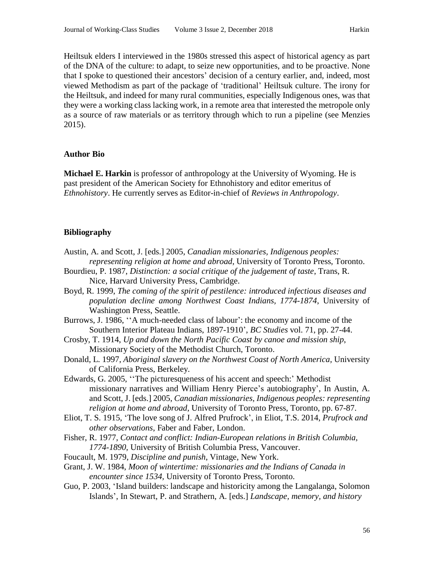Heiltsuk elders I interviewed in the 1980s stressed this aspect of historical agency as part of the DNA of the culture: to adapt, to seize new opportunities, and to be proactive. None that I spoke to questioned their ancestors' decision of a century earlier, and, indeed, most viewed Methodism as part of the package of 'traditional' Heiltsuk culture. The irony for the Heiltsuk, and indeed for many rural communities, especially Indigenous ones, was that they were a working class lacking work, in a remote area that interested the metropole only as a source of raw materials or as territory through which to run a pipeline (see Menzies 2015).

#### **Author Bio**

**Michael E. Harkin** is professor of anthropology at the University of Wyoming. He is past president of the American Society for Ethnohistory and editor emeritus of *Ethnohistory*. He currently serves as Editor-in-chief of *Reviews in Anthropology*.

#### **Bibliography**

- Austin, A. and Scott, J. [eds.] 2005, *Canadian missionaries, Indigenous peoples: representing religion at home and abroad*, University of Toronto Press, Toronto.
- Bourdieu, P. 1987, *Distinction: a social critique of the judgement of taste*, Trans, R. Nice, Harvard University Press, Cambridge.
- Boyd, R. 1999, *The coming of the spirit of pestilence: introduced infectious diseases and population decline among Northwest Coast Indians, 1774-1874*, University of Washington Press, Seattle.
- Burrows, J. 1986, ''A much-needed class of labour': the economy and income of the Southern Interior Plateau Indians, 1897-1910', *BC Studies* vol. 71, pp. 27-44.
- Crosby, T. 1914, *Up and down the North Pacific Coast by canoe and mission ship*, Missionary Society of the Methodist Church, Toronto.
- Donald, L. 1997, *Aboriginal slavery on the Northwest Coast of North America,* University of California Press, Berkeley.
- Edwards, G. 2005, ''The picturesqueness of his accent and speech:' Methodist missionary narratives and William Henry Pierce's autobiography', In Austin, A. and Scott, J. [eds.] 2005, *Canadian missionaries, Indigenous peoples: representing religion at home and abroad*, University of Toronto Press, Toronto, pp. 67-87.
- Eliot, T. S. 1915, 'The love song of J. Alfred Prufrock', in Eliot, T.S. 2014, *Prufrock and other observations*, Faber and Faber, London.
- Fisher, R. 1977, *Contact and conflict: Indian-European relations in British Columbia, 1774-1890,* University of British Columbia Press, Vancouver.
- Foucault, M. 1979, *Discipline and punish*, Vintage, New York.
- Grant, J. W. 1984, *Moon of wintertime: missionaries and the Indians of Canada in encounter since 1534,* University of Toronto Press, Toronto.
- Guo, P. 2003, 'Island builders: landscape and historicity among the Langalanga, Solomon Islands', In Stewart, P. and Strathern, A. [eds.] *Landscape, memory, and history*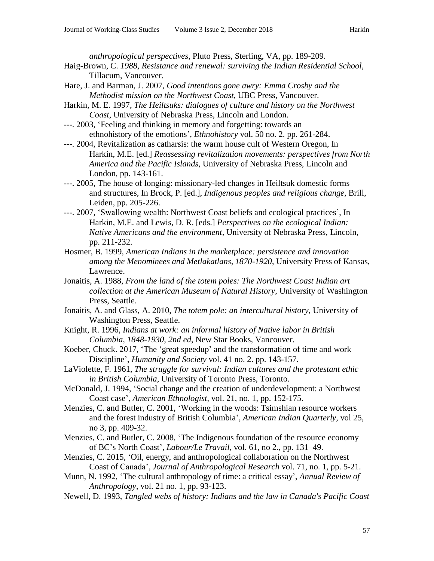*anthropological perspectives*, Pluto Press, Sterling, VA, pp. 189-209.

- Haig-Brown, C. *1988, Resistance and renewal: surviving the Indian Residential School,* Tillacum, Vancouver.
- Hare, J. and Barman, J. 2007, *Good intentions gone awry: Emma Crosby and the Methodist mission on the Northwest Coast*, UBC Press, Vancouver.
- Harkin, M. E. 1997, *The Heiltsuks: dialogues of culture and history on the Northwest Coast*, University of Nebraska Press, Lincoln and London.
- ---. 2003, 'Feeling and thinking in memory and forgetting: towards an ethnohistory of the emotions', *Ethnohistory* vol. 50 no. 2. pp. 261-284.
- ---. 2004, Revitalization as catharsis: the warm house cult of Western Oregon, In Harkin, M.E. [ed.] *Reassessing revitalization movements: perspectives from North America and the Pacific Islands,* University of Nebraska Press, Lincoln and London, pp. 143-161.
- ---. 2005, The house of longing: missionary-led changes in Heiltsuk domestic forms and structures, In Brock, P. [ed.], *Indigenous peoples and religious change,* Brill, Leiden, pp. 205-226.
- ---. 2007, 'Swallowing wealth: Northwest Coast beliefs and ecological practices', In Harkin, M.E. and Lewis, D. R. [eds.] *Perspectives on the ecological Indian: Native Americans and the environment,* University of Nebraska Press, Lincoln, pp. 211-232.
- Hosmer, B. 1999, *American Indians in the marketplace: persistence and innovation among the Menominees and Metlakatlans, 1870-1920*, University Press of Kansas, Lawrence.
- Jonaitis, A. 1988, *From the land of the totem poles: The Northwest Coast Indian art collection at the American Museum of Natural History*, University of Washington Press, Seattle.
- Jonaitis, A. and Glass, A. 2010, *The totem pole: an intercultural history*, University of Washington Press, Seattle.
- Knight, R. 1996, *Indians at work: an informal history of Native labor in British Columbia, 1848-1930, 2nd ed*, New Star Books, Vancouver.
- Koeber, Chuck. 2017, 'The 'great speedup' and the transformation of time and work Discipline', *Humanity and Society* vol. 41 no. 2. pp. 143-157.
- LaViolette, F. 1961, *The struggle for survival: Indian cultures and the protestant ethic in British Columbia*, University of Toronto Press, Toronto.
- McDonald, J. 1994, 'Social change and the creation of underdevelopment: a Northwest Coast case', *American Ethnologist*, vol. 21, no. 1, pp. 152-175.
- Menzies, C. and Butler, C. 2001, 'Working in the woods: Tsimshian resource workers and the forest industry of British Columbia', *American Indian Quarterly,* vol 25, no 3, pp. 409-32.
- Menzies, C. and Butler, C. 2008, 'The Indigenous foundation of the resource economy of BC's North Coast', *Labour/Le Travail,* vol. 61, no 2., pp. 131–49.
- Menzies, C. 2015, 'Oil, energy, and anthropological collaboration on the Northwest Coast of Canada', *Journal of Anthropological Research* vol. 71, no. 1, pp. 5-21.
- Munn, N. 1992, 'The cultural anthropology of time: a critical essay', *Annual Review of Anthropology*, vol. 21 no. 1, pp. 93-123.
- Newell, D. 1993, *Tangled webs of history: Indians and the law in Canada's Pacific Coast*